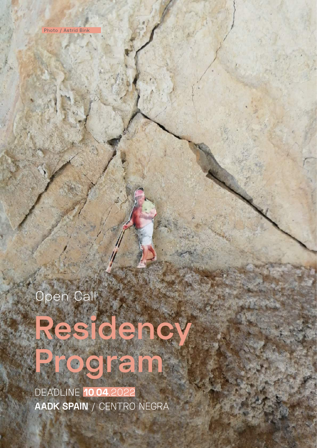Open Call

# Residenc **Program**

DEADLINE **10.04.**2022 AADK SPAIN / CENTRO NEGRA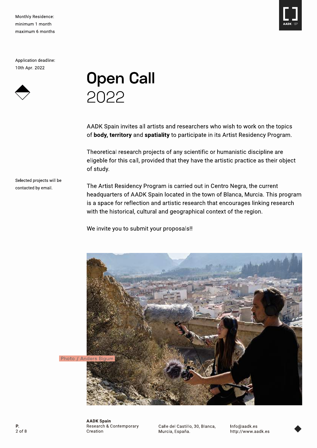Monthly Residence: minimum 1 month maximum 6 months

Application deadline: 10th Apr. 2022

Selected projects will be

contacted by email.



**Open Call** 2022

AADK Spain invites all artists and researchers who wish to work on the topics of body, territory and spatiality to participate in its Artist Residency Program.

Theoretical research projects of any scientific or humanistic discipline are eligeble for this call, provided that they have the artistic practice as their object of study.

The Artist Residency Program is carried out in Centro Negra, the current headquarters of AADK Spain located in the town of Blanca, Murcia. This program is a space for reflection and artistic research that encourages linking research with the historical, cultural and geographical context of the region.

We invite you to submit your proposals!!



Photo / Anders Bigum

**AADK Spain** Research & Contemporary

Creation

Calle del Castillo, 30, Blanca, Murcia, España.

Info@aadk.es http://www.aadk.es

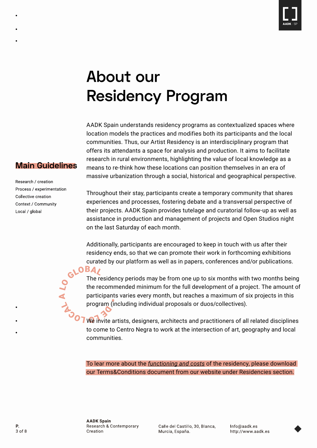

# About our **Residency Program**

AADK Spain understands residency programs as contextualized spaces where location models the practices and modifies both its participants and the local communities. Thus, our Artist Residency is an interdisciplinary program that offers its attendants a space for analysis and production. It aims to facilitate research in rural environments, highlighting the value of local knowledge as a means to re-think how these locations can position themselves in an era of massive urbanization through a social, historical and geographical perspective.

### **Main Guidelines**

Research / creation Process / experimentation Collective creation Context / Community Local / global

Throughout their stay, participants create a temporary community that shares experiences and processes, fostering debate and a transversal perspective of their projects. AADK Spain provides tutelage and curatorial follow-up as well as assistance in production and management of projects and Open Studios night on the last Saturday of each month.

Additionally, participants are encouraged to keep in touch with us after their residency ends, so that we can promote their work in forthcoming exhibitions curated by our platform as well as in papers, conferences and/or publications.

 $OBA$ The residency periods may be from one up to six months with two months being the recommended minimum for the full development of a project. The amount of participants varies every month, but reaches a maximum of six projects in this program (including individual proposals or duos/collectives).

We invite artists, designers, architects and practitioners of all related disciplines to come to Centro Negra to work at the intersection of art, geography and local communities.

To lear more about the *functioning and costs* of the residency, please download our Terms&Conditions document from our website under Residencies section.

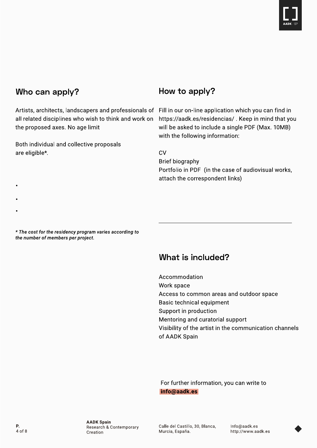

### Who can apply?

all related disciplines who wish to think and work on the proposed axes. No age limit

Both individual and collective proposals are eligible\*.

### How to apply?

Artists, architects, landscapers and professionals of Fill in our on-line application which you can find in https://aadk.es/residencias/. Keep in mind that you will be asked to include a single PDF (Max. 10MB) with the following information:

> **CV Brief biography** Portfolio in PDF (in the case of audiovisual works, attach the correspondent links)

\* The cost for the residency program varies according to the number of members per project.

### What is included?

Accommodation Work space Access to common areas and outdoor space Basic technical equipment Support in production Mentoring and curatorial support Visibility of the artist in the communication channels of AADK Spain

For further information, you can write to info@aadk.es

Calle del Castillo, 30, Blanca, Murcia, España.

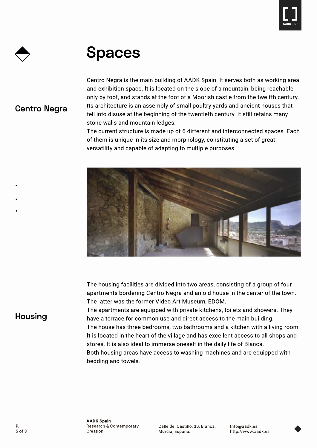

### **Spaces**

### **Centro Negra**

Centro Negra is the main building of AADK Spain. It serves both as working area and exhibition space. It is located on the slope of a mountain, being reachable only by foot, and stands at the foot of a Moorish castle from the twelfth century. Its architecture is an assembly of small poultry yards and ancient houses that fell into disuse at the beginning of the twentieth century. It still retains many stone walls and mountain ledges.

The current structure is made up of 6 different and interconnected spaces. Each of them is unique in its size and morphology, constituting a set of great versatility and capable of adapting to multiple purposes.



The housing facilities are divided into two areas, consisting of a group of four apartments bordering Centro Negra and an old house in the center of the town. The latter was the former Video Art Museum, EDOM.

The apartments are equipped with private kitchens, toilets and showers. They have a terrace for common use and direct access to the main building. The house has three bedrooms, two bathrooms and a kitchen with a living room. It is located in the heart of the village and has excellent access to all shops and stores. It is also ideal to immerse oneself in the daily life of Blanca. Both housing areas have access to washing machines and are equipped with bedding and towels.

#### Housing

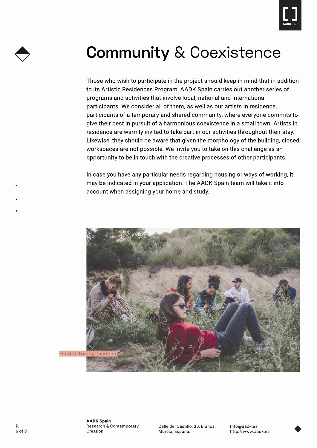



# **Community & Coexistence**

Those who wish to participate in the project should keep in mind that in addition to its Artistic Residences Program, AADK Spain carries out another series of programs and activities that involve local, national and international participants. We consider all of them, as well as our artists in residence, participants of a temporary and shared community, where everyone commits to give their best in pursuit of a harmonious coexistence in a small town. Artists in residence are warmly invited to take part in our activities throughout their stay. Likewise, they should be aware that given the morphology of the building, closed workspaces are not possible. We invite you to take on this challenge as an opportunity to be in touch with the creative processes of other participants.

In case you have any particular needs regarding housing or ways of working, it may be indicated in your application. The AADK Spain team will take it into account when assigning your home and study.



Calle del Castillo, 30, Blanca, Murcia, España.

Info@aadk.es http://www.aadk.es